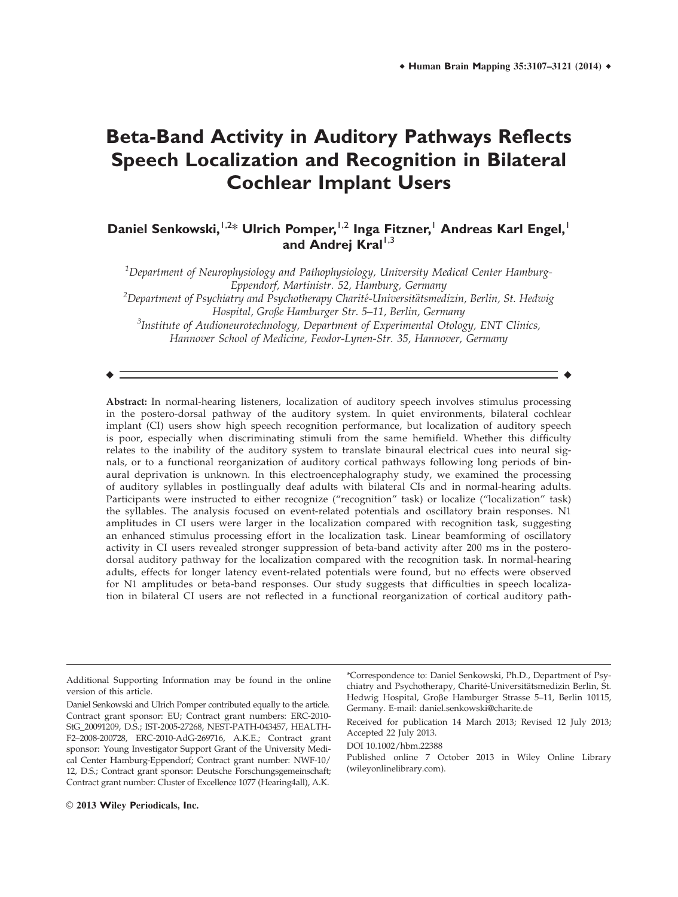# **Beta-Band Activity in Auditory Pathways Reflects Speech Localization and Recognition in Bilateral Cochlear Implant Users**

## **Daniel Senkowski,**1,2\* **Ulrich Pomper,**1,2 **Inga Fitzner,**<sup>1</sup> **Andreas Karl Engel,**<sup>1</sup> and Andrej Kral<sup>1,3</sup>

 $^{\rm 1}$ Department of Neurophysiology and Pathophysiology, University Medical Center Hamburg-Eppendorf, Martinistr. 52, Hamburg, Germany  $^2$ Department of Psychiatry and Psychotherapy Charité-Universitätsmedizin, Berlin, St. Hedwig Hospital, Große Hamburger Str. 5–11, Berlin, Germany  ${}^{3}$ Institute of Audioneurotechnology, Department of Experimental Otology, ENT Clinics, Hannover School of Medicine, Feodor-Lynen-Str. 35, Hannover, Germany

r r

Abstract: In normal-hearing listeners, localization of auditory speech involves stimulus processing in the postero-dorsal pathway of the auditory system. In quiet environments, bilateral cochlear implant (CI) users show high speech recognition performance, but localization of auditory speech is poor, especially when discriminating stimuli from the same hemifield. Whether this difficulty relates to the inability of the auditory system to translate binaural electrical cues into neural signals, or to a functional reorganization of auditory cortical pathways following long periods of binaural deprivation is unknown. In this electroencephalography study, we examined the processing of auditory syllables in postlingually deaf adults with bilateral CIs and in normal-hearing adults. Participants were instructed to either recognize ("recognition" task) or localize ("localization" task) the syllables. The analysis focused on event-related potentials and oscillatory brain responses. N1 amplitudes in CI users were larger in the localization compared with recognition task, suggesting an enhanced stimulus processing effort in the localization task. Linear beamforming of oscillatory activity in CI users revealed stronger suppression of beta-band activity after 200 ms in the posterodorsal auditory pathway for the localization compared with the recognition task. In normal-hearing adults, effects for longer latency event-related potentials were found, but no effects were observed for N1 amplitudes or beta-band responses. Our study suggests that difficulties in speech localization in bilateral CI users are not reflected in a functional reorganization of cortical auditory path-

Additional Supporting Information may be found in the online version of this article.

\*Correspondence to: Daniel Senkowski, Ph.D., Department of Psychiatry and Psychotherapy, Charité-Universitätsmedizin Berlin, St. Hedwig Hospital, Grobe Hamburger Strasse 5–11, Berlin 10115, Germany. E-mail: daniel.senkowski@charite.de

Received for publication 14 March 2013; Revised 12 July 2013; Accepted 22 July 2013.

DOI 10.1002/hbm.22388

Published online 7 October 2013 in Wiley Online Library (wileyonlinelibrary.com).

 $\odot$  2013 Wiley Periodicals, Inc.

Daniel Senkowski and Ulrich Pomper contributed equally to the article. Contract grant sponsor: EU; Contract grant numbers: ERC-2010- StG\_20091209, D.S.; IST-2005-27268, NEST-PATH-043457, HEALTH-F2–2008-200728, ERC-2010-AdG-269716, A.K.E.; Contract grant sponsor: Young Investigator Support Grant of the University Medical Center Hamburg-Eppendorf; Contract grant number: NWF-10/ 12, D.S.; Contract grant sponsor: Deutsche Forschungsgemeinschaft; Contract grant number: Cluster of Excellence 1077 (Hearing4all), A.K.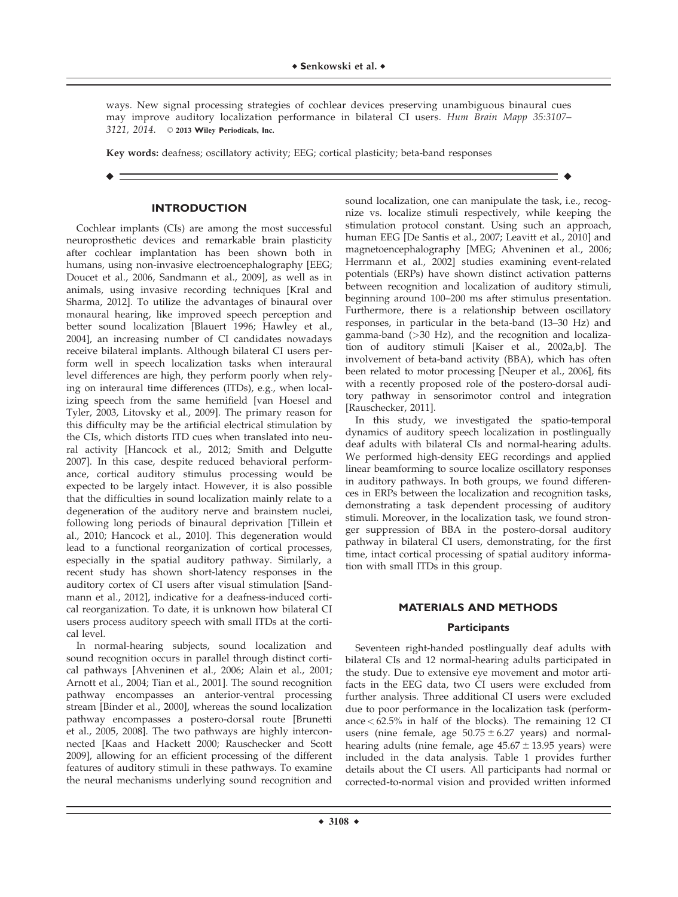ways. New signal processing strategies of cochlear devices preserving unambiguous binaural cues may improve auditory localization performance in bilateral CI users. Hum Brain Mapp 35:3107-3121, 2014. © 2013 Wiley Periodicals, Inc.

r r

Key words: deafness; oscillatory activity; EEG; cortical plasticity; beta-band responses

## **INTRODUCTION**

Cochlear implants (CIs) are among the most successful neuroprosthetic devices and remarkable brain plasticity after cochlear implantation has been shown both in humans, using non-invasive electroencephalography [EEG; Doucet et al., 2006, Sandmann et al., 2009], as well as in animals, using invasive recording techniques [Kral and Sharma, 2012]. To utilize the advantages of binaural over monaural hearing, like improved speech perception and better sound localization [Blauert 1996; Hawley et al., 2004], an increasing number of CI candidates nowadays receive bilateral implants. Although bilateral CI users perform well in speech localization tasks when interaural level differences are high, they perform poorly when relying on interaural time differences (ITDs), e.g., when localizing speech from the same hemifield [van Hoesel and Tyler, 2003, Litovsky et al., 2009]. The primary reason for this difficulty may be the artificial electrical stimulation by the CIs, which distorts ITD cues when translated into neural activity [Hancock et al., 2012; Smith and Delgutte 2007]. In this case, despite reduced behavioral performance, cortical auditory stimulus processing would be expected to be largely intact. However, it is also possible that the difficulties in sound localization mainly relate to a degeneration of the auditory nerve and brainstem nuclei, following long periods of binaural deprivation [Tillein et al., 2010; Hancock et al., 2010]. This degeneration would lead to a functional reorganization of cortical processes, especially in the spatial auditory pathway. Similarly, a recent study has shown short-latency responses in the auditory cortex of CI users after visual stimulation [Sandmann et al., 2012], indicative for a deafness-induced cortical reorganization. To date, it is unknown how bilateral CI users process auditory speech with small ITDs at the cortical level.

In normal-hearing subjects, sound localization and sound recognition occurs in parallel through distinct cortical pathways [Ahveninen et al., 2006; Alain et al., 2001; Arnott et al., 2004; Tian et al., 2001]. The sound recognition pathway encompasses an anterior-ventral processing stream [Binder et al., 2000], whereas the sound localization pathway encompasses a postero-dorsal route [Brunetti et al., 2005, 2008]. The two pathways are highly interconnected [Kaas and Hackett 2000; Rauschecker and Scott 2009], allowing for an efficient processing of the different features of auditory stimuli in these pathways. To examine the neural mechanisms underlying sound recognition and

sound localization, one can manipulate the task, i.e., recognize vs. localize stimuli respectively, while keeping the stimulation protocol constant. Using such an approach, human EEG [De Santis et al., 2007; Leavitt et al., 2010] and magnetoencephalography [MEG; Ahveninen et al., 2006; Herrmann et al., 2002] studies examining event-related potentials (ERPs) have shown distinct activation patterns between recognition and localization of auditory stimuli, beginning around 100–200 ms after stimulus presentation. Furthermore, there is a relationship between oscillatory responses, in particular in the beta-band (13–30 Hz) and gamma-band (>30 Hz), and the recognition and localization of auditory stimuli [Kaiser et al., 2002a,b]. The involvement of beta-band activity (BBA), which has often been related to motor processing [Neuper et al., 2006], fits with a recently proposed role of the postero-dorsal auditory pathway in sensorimotor control and integration [Rauschecker, 2011].

In this study, we investigated the spatio-temporal dynamics of auditory speech localization in postlingually deaf adults with bilateral CIs and normal-hearing adults. We performed high-density EEG recordings and applied linear beamforming to source localize oscillatory responses in auditory pathways. In both groups, we found differences in ERPs between the localization and recognition tasks, demonstrating a task dependent processing of auditory stimuli. Moreover, in the localization task, we found stronger suppression of BBA in the postero-dorsal auditory pathway in bilateral CI users, demonstrating, for the first time, intact cortical processing of spatial auditory information with small ITDs in this group.

## **MATERIALS AND METHODS**

## **Participants**

Seventeen right-handed postlingually deaf adults with bilateral CIs and 12 normal-hearing adults participated in the study. Due to extensive eye movement and motor artifacts in the EEG data, two CI users were excluded from further analysis. Three additional CI users were excluded due to poor performance in the localization task (performance  $< 62.5\%$  in half of the blocks). The remaining 12 CI users (nine female, age  $50.75 \pm 6.27$  years) and normalhearing adults (nine female, age  $45.67 \pm 13.95$  years) were included in the data analysis. Table 1 provides further details about the CI users. All participants had normal or corrected-to-normal vision and provided written informed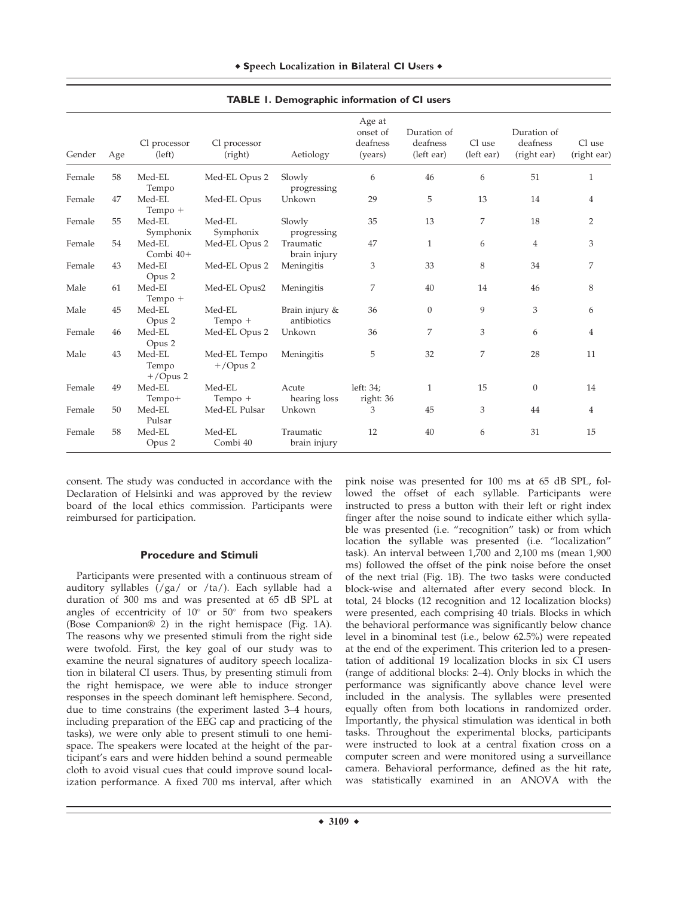| Gender | Age | Cl processor<br>(left)        | Cl processor<br>(right)     | Aetiology                     | Age at<br>onset of<br>deafness<br>(years) | Duration of<br>deafness<br>(left ear) | Cl use<br>(left ear) | Duration of<br>deafness<br>(right ear) | Cl use<br>(right ear) |
|--------|-----|-------------------------------|-----------------------------|-------------------------------|-------------------------------------------|---------------------------------------|----------------------|----------------------------------------|-----------------------|
| Female | 58  | Med-EL<br>Tempo               | Med-EL Opus 2               | Slowly<br>progressing         | 6                                         | 46                                    | 6                    | 51                                     | $\mathbf{1}$          |
| Female | 47  | Med-EL<br>Tempo +             | Med-EL Opus                 | Unkown                        | 29                                        | 5                                     | 13                   | 14                                     | 4                     |
| Female | 55  | Med-EL<br>Symphonix           | Med-EL<br>Symphonix         | Slowly<br>progressing         | 35                                        | 13                                    | 7                    | 18                                     | $\overline{2}$        |
| Female | 54  | Med-EL<br>Combi 40+           | Med-EL Opus 2               | Traumatic<br>brain injury     | 47                                        | 1                                     | 6                    | 4                                      | 3                     |
| Female | 43  | Med-EI<br>Opus 2              | Med-EL Opus 2               | Meningitis                    | 3                                         | 33                                    | 8                    | 34                                     | 7                     |
| Male   | 61  | Med-EI<br>Tempo +             | Med-EL Opus2                | Meningitis                    | 7                                         | 40                                    | 14                   | 46                                     | 8                     |
| Male   | 45  | Med-EL<br>Opus 2              | Med-EL<br>Tempo +           | Brain injury &<br>antibiotics | 36                                        | $\theta$                              | 9                    | 3                                      | 6                     |
| Female | 46  | Med-EL<br>Opus 2              | Med-EL Opus 2               | Unkown                        | 36                                        | 7                                     | 3                    | 6                                      | 4                     |
| Male   | 43  | Med-EL<br>Tempo<br>$+/Opus 2$ | Med-EL Tempo<br>$+$ /Opus 2 | Meningitis                    | 5                                         | 32                                    | 7                    | 28                                     | 11                    |
| Female | 49  | Med-EL<br>Tempo+              | Med-EL<br>Tempo +           | Acute<br>hearing loss         | left: 34:<br>right: 36                    | $\mathbf{1}$                          | 15                   | $\overline{0}$                         | 14                    |
| Female | 50  | Med-EL<br>Pulsar              | Med-EL Pulsar               | Unkown                        | 3                                         | 45                                    | 3                    | 44                                     | 4                     |
| Female | 58  | Med-EL<br>Opus 2              | Med-EL<br>Combi 40          | Traumatic<br>brain injury     | 12                                        | 40                                    | 6                    | 31                                     | 15                    |

**TABLE 1. Demographic information of CI users**

consent. The study was conducted in accordance with the Declaration of Helsinki and was approved by the review board of the local ethics commission. Participants were reimbursed for participation.

## **Procedure and Stimuli**

Participants were presented with a continuous stream of auditory syllables (/ga/ or /ta/). Each syllable had a duration of 300 ms and was presented at 65 dB SPL at angles of eccentricity of  $10^{\circ}$  or  $50^{\circ}$  from two speakers (Bose Companion $\mathcal{D}$  2) in the right hemispace (Fig. 1A). The reasons why we presented stimuli from the right side were twofold. First, the key goal of our study was to examine the neural signatures of auditory speech localization in bilateral CI users. Thus, by presenting stimuli from the right hemispace, we were able to induce stronger responses in the speech dominant left hemisphere. Second, due to time constrains (the experiment lasted 3–4 hours, including preparation of the EEG cap and practicing of the tasks), we were only able to present stimuli to one hemispace. The speakers were located at the height of the participant's ears and were hidden behind a sound permeable cloth to avoid visual cues that could improve sound localization performance. A fixed 700 ms interval, after which

pink noise was presented for 100 ms at 65 dB SPL, followed the offset of each syllable. Participants were instructed to press a button with their left or right index finger after the noise sound to indicate either which syllable was presented (i.e. "recognition" task) or from which location the syllable was presented (i.e. "localization" task). An interval between 1,700 and 2,100 ms (mean 1,900 ms) followed the offset of the pink noise before the onset of the next trial (Fig. 1B). The two tasks were conducted block-wise and alternated after every second block. In total, 24 blocks (12 recognition and 12 localization blocks) were presented, each comprising 40 trials. Blocks in which the behavioral performance was significantly below chance level in a binominal test (i.e., below 62.5%) were repeated at the end of the experiment. This criterion led to a presentation of additional 19 localization blocks in six CI users (range of additional blocks: 2–4). Only blocks in which the performance was significantly above chance level were included in the analysis. The syllables were presented equally often from both locations in randomized order. Importantly, the physical stimulation was identical in both tasks. Throughout the experimental blocks, participants were instructed to look at a central fixation cross on a computer screen and were monitored using a surveillance camera. Behavioral performance, defined as the hit rate, was statistically examined in an ANOVA with the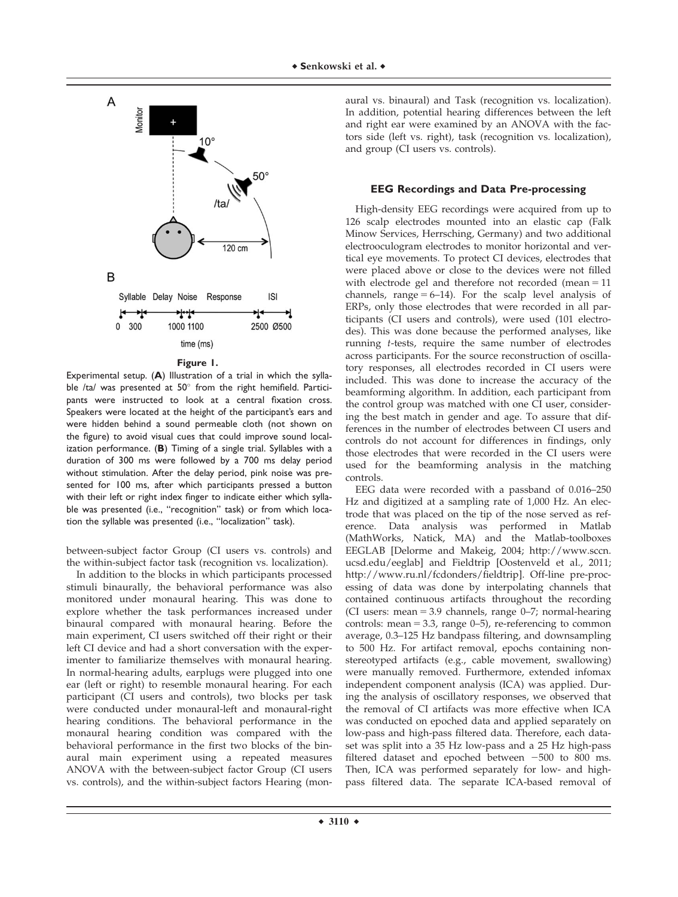

## **Figure 1.**

Experimental setup. (**A**) Illustration of a trial in which the syllable /ta/ was presented at  $50^{\circ}$  from the right hemifield. Participants were instructed to look at a central fixation cross. Speakers were located at the height of the participant's ears and were hidden behind a sound permeable cloth (not shown on the figure) to avoid visual cues that could improve sound localization performance. (**B**) Timing of a single trial. Syllables with a duration of 300 ms were followed by a 700 ms delay period without stimulation. After the delay period, pink noise was presented for 100 ms, after which participants pressed a button with their left or right index finger to indicate either which syllable was presented (i.e., "recognition" task) or from which location the syllable was presented (i.e., "localization" task).

between-subject factor Group (CI users vs. controls) and the within-subject factor task (recognition vs. localization).

In addition to the blocks in which participants processed stimuli binaurally, the behavioral performance was also monitored under monaural hearing. This was done to explore whether the task performances increased under binaural compared with monaural hearing. Before the main experiment, CI users switched off their right or their left CI device and had a short conversation with the experimenter to familiarize themselves with monaural hearing. In normal-hearing adults, earplugs were plugged into one ear (left or right) to resemble monaural hearing. For each participant (CI users and controls), two blocks per task were conducted under monaural-left and monaural-right hearing conditions. The behavioral performance in the monaural hearing condition was compared with the behavioral performance in the first two blocks of the binaural main experiment using a repeated measures ANOVA with the between-subject factor Group (CI users vs. controls), and the within-subject factors Hearing (mon-

aural vs. binaural) and Task (recognition vs. localization). In addition, potential hearing differences between the left and right ear were examined by an ANOVA with the factors side (left vs. right), task (recognition vs. localization), and group (CI users vs. controls).

## **EEG Recordings and Data Pre-processing**

High-density EEG recordings were acquired from up to 126 scalp electrodes mounted into an elastic cap (Falk Minow Services, Herrsching, Germany) and two additional electrooculogram electrodes to monitor horizontal and vertical eye movements. To protect CI devices, electrodes that were placed above or close to the devices were not filled with electrode gel and therefore not recorded (mean  $= 11$ ) channels, range  $= 6-14$ ). For the scalp level analysis of ERPs, only those electrodes that were recorded in all participants (CI users and controls), were used (101 electrodes). This was done because the performed analyses, like running t-tests, require the same number of electrodes across participants. For the source reconstruction of oscillatory responses, all electrodes recorded in CI users were included. This was done to increase the accuracy of the beamforming algorithm. In addition, each participant from the control group was matched with one CI user, considering the best match in gender and age. To assure that differences in the number of electrodes between CI users and controls do not account for differences in findings, only those electrodes that were recorded in the CI users were used for the beamforming analysis in the matching controls.

EEG data were recorded with a passband of 0.016–250 Hz and digitized at a sampling rate of 1,000 Hz. An electrode that was placed on the tip of the nose served as reference. Data analysis was performed in Matlab (MathWorks, Natick, MA) and the Matlab-toolboxes EEGLAB [Delorme and Makeig, 2004; [http://www.sccn.](http://www.sccn.ucsd.edu/eeglab) [ucsd.edu/eeglab](http://www.sccn.ucsd.edu/eeglab)] and Fieldtrip [Oostenveld et al., 2011; [http://www.ru.nl/fcdonders/fieldtrip\]](http://www.ru.nl/fcdonders/fieldtrip). Off-line pre-processing of data was done by interpolating channels that contained continuous artifacts throughout the recording (CI users: mean = 3.9 channels, range  $0-7$ ; normal-hearing controls: mean  $= 3.3$ , range 0–5), re-referencing to common average, 0.3–125 Hz bandpass filtering, and downsampling to 500 Hz. For artifact removal, epochs containing nonstereotyped artifacts (e.g., cable movement, swallowing) were manually removed. Furthermore, extended infomax independent component analysis (ICA) was applied. During the analysis of oscillatory responses, we observed that the removal of CI artifacts was more effective when ICA was conducted on epoched data and applied separately on low-pass and high-pass filtered data. Therefore, each dataset was split into a 35 Hz low-pass and a 25 Hz high-pass filtered dataset and epoched between  $-500$  to 800 ms. Then, ICA was performed separately for low- and highpass filtered data. The separate ICA-based removal of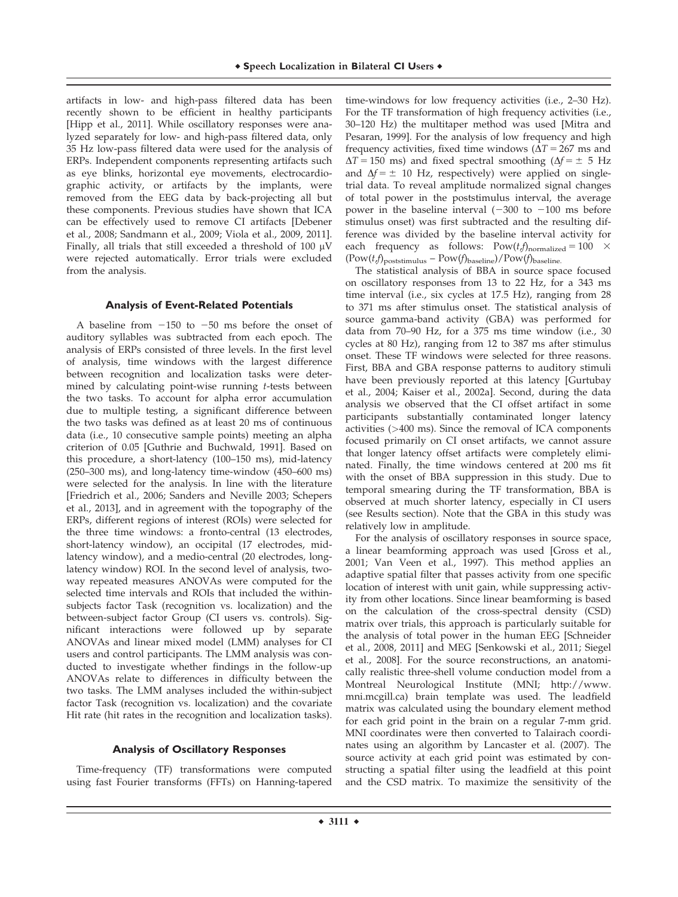artifacts in low- and high-pass filtered data has been recently shown to be efficient in healthy participants [Hipp et al., 2011]. While oscillatory responses were analyzed separately for low- and high-pass filtered data, only 35 Hz low-pass filtered data were used for the analysis of ERPs. Independent components representing artifacts such as eye blinks, horizontal eye movements, electrocardiographic activity, or artifacts by the implants, were removed from the EEG data by back-projecting all but these components. Previous studies have shown that ICA can be effectively used to remove CI artifacts [Debener et al., 2008; Sandmann et al., 2009; Viola et al., 2009, 2011]. Finally, all trials that still exceeded a threshold of 100  $\mu$ V were rejected automatically. Error trials were excluded from the analysis.

## **Analysis of Event-Related Potentials**

A baseline from  $-150$  to  $-50$  ms before the onset of auditory syllables was subtracted from each epoch. The analysis of ERPs consisted of three levels. In the first level of analysis, time windows with the largest difference between recognition and localization tasks were determined by calculating point-wise running t-tests between the two tasks. To account for alpha error accumulation due to multiple testing, a significant difference between the two tasks was defined as at least 20 ms of continuous data (i.e., 10 consecutive sample points) meeting an alpha criterion of 0.05 [Guthrie and Buchwald, 1991]. Based on this procedure, a short-latency (100–150 ms), mid-latency (250–300 ms), and long-latency time-window (450–600 ms) were selected for the analysis. In line with the literature [Friedrich et al., 2006; Sanders and Neville 2003; Schepers et al., 2013], and in agreement with the topography of the ERPs, different regions of interest (ROIs) were selected for the three time windows: a fronto-central (13 electrodes, short-latency window), an occipital (17 electrodes, midlatency window), and a medio-central (20 electrodes, longlatency window) ROI. In the second level of analysis, twoway repeated measures ANOVAs were computed for the selected time intervals and ROIs that included the withinsubjects factor Task (recognition vs. localization) and the between-subject factor Group (CI users vs. controls). Significant interactions were followed up by separate ANOVAs and linear mixed model (LMM) analyses for CI users and control participants. The LMM analysis was conducted to investigate whether findings in the follow-up ANOVAs relate to differences in difficulty between the two tasks. The LMM analyses included the within-subject factor Task (recognition vs. localization) and the covariate Hit rate (hit rates in the recognition and localization tasks).

#### **Analysis of Oscillatory Responses**

Time-frequency (TF) transformations were computed using fast Fourier transforms (FFTs) on Hanning-tapered

time-windows for low frequency activities (i.e., 2–30 Hz). For the TF transformation of high frequency activities (i.e., 30–120 Hz) the multitaper method was used [Mitra and Pesaran, 1999]. For the analysis of low frequency and high frequency activities, fixed time windows ( $\Delta T = 267$  ms and  $\Delta T = 150$  ms) and fixed spectral smoothing ( $\Delta f = \pm 5$  Hz and  $\Delta f = \pm 10$  Hz, respectively) were applied on singletrial data. To reveal amplitude normalized signal changes of total power in the poststimulus interval, the average power in the baseline interval  $(-300$  to  $-100$  ms before stimulus onset) was first subtracted and the resulting difference was divided by the baseline interval activity for each frequency as follows:  $Pow(t, f)_{normalized} = 100 \times$  $(Pow(t, f)_{\text{poststimulus}} - Pow(f)_{\text{baseline}})/Pow(f)_{\text{baseline}}.$ 

The statistical analysis of BBA in source space focused on oscillatory responses from 13 to 22 Hz, for a 343 ms time interval (i.e., six cycles at 17.5 Hz), ranging from 28 to 371 ms after stimulus onset. The statistical analysis of source gamma-band activity (GBA) was performed for data from 70–90 Hz, for a 375 ms time window (i.e., 30 cycles at 80 Hz), ranging from 12 to 387 ms after stimulus onset. These TF windows were selected for three reasons. First, BBA and GBA response patterns to auditory stimuli have been previously reported at this latency [Gurtubay et al., 2004; Kaiser et al., 2002a]. Second, during the data analysis we observed that the CI offset artifact in some participants substantially contaminated longer latency activities (>400 ms). Since the removal of ICA components focused primarily on CI onset artifacts, we cannot assure that longer latency offset artifacts were completely eliminated. Finally, the time windows centered at 200 ms fit with the onset of BBA suppression in this study. Due to temporal smearing during the TF transformation, BBA is observed at much shorter latency, especially in CI users (see Results section). Note that the GBA in this study was relatively low in amplitude.

For the analysis of oscillatory responses in source space, a linear beamforming approach was used [Gross et al., 2001; Van Veen et al., 1997). This method applies an adaptive spatial filter that passes activity from one specific location of interest with unit gain, while suppressing activity from other locations. Since linear beamforming is based on the calculation of the cross-spectral density (CSD) matrix over trials, this approach is particularly suitable for the analysis of total power in the human EEG [Schneider et al., 2008, 2011] and MEG [Senkowski et al., 2011; Siegel et al., 2008]. For the source reconstructions, an anatomically realistic three-shell volume conduction model from a Montreal Neurological Institute (MNI; [http://www.](http://www.mni.mcgill.ca) [mni.mcgill.ca\)](http://www.mni.mcgill.ca) brain template was used. The leadfield matrix was calculated using the boundary element method for each grid point in the brain on a regular 7-mm grid. MNI coordinates were then converted to Talairach coordinates using an algorithm by Lancaster et al. (2007). The source activity at each grid point was estimated by constructing a spatial filter using the leadfield at this point and the CSD matrix. To maximize the sensitivity of the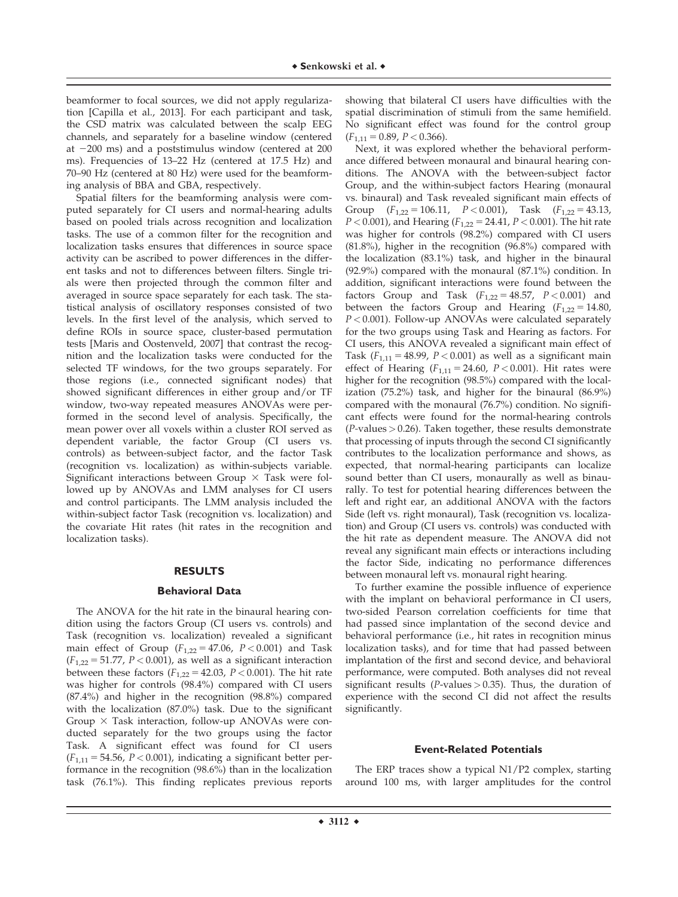beamformer to focal sources, we did not apply regularization [Capilla et al., 2013]. For each participant and task, the CSD matrix was calculated between the scalp EEG channels, and separately for a baseline window (centered at  $-200$  ms) and a poststimulus window (centered at 200 ms). Frequencies of 13–22 Hz (centered at 17.5 Hz) and 70–90 Hz (centered at 80 Hz) were used for the beamforming analysis of BBA and GBA, respectively.

Spatial filters for the beamforming analysis were computed separately for CI users and normal-hearing adults based on pooled trials across recognition and localization tasks. The use of a common filter for the recognition and localization tasks ensures that differences in source space activity can be ascribed to power differences in the different tasks and not to differences between filters. Single trials were then projected through the common filter and averaged in source space separately for each task. The statistical analysis of oscillatory responses consisted of two levels. In the first level of the analysis, which served to define ROIs in source space, cluster-based permutation tests [Maris and Oostenveld, 2007] that contrast the recognition and the localization tasks were conducted for the selected TF windows, for the two groups separately. For those regions (i.e., connected significant nodes) that showed significant differences in either group and/or TF window, two-way repeated measures ANOVAs were performed in the second level of analysis. Specifically, the mean power over all voxels within a cluster ROI served as dependent variable, the factor Group (CI users vs. controls) as between-subject factor, and the factor Task (recognition vs. localization) as within-subjects variable. Significant interactions between Group  $\times$  Task were followed up by ANOVAs and LMM analyses for CI users and control participants. The LMM analysis included the within-subject factor Task (recognition vs. localization) and the covariate Hit rates (hit rates in the recognition and localization tasks).

#### **RESULTS**

#### **Behavioral Data**

The ANOVA for the hit rate in the binaural hearing condition using the factors Group (CI users vs. controls) and Task (recognition vs. localization) revealed a significant main effect of Group  $(F_{1,22} = 47.06, P < 0.001)$  and Task  $(F_{1,22} = 51.77, P < 0.001)$ , as well as a significant interaction between these factors ( $F_{1,22} = 42.03$ ,  $P < 0.001$ ). The hit rate was higher for controls (98.4%) compared with CI users (87.4%) and higher in the recognition (98.8%) compared with the localization (87.0%) task. Due to the significant Group  $\times$  Task interaction, follow-up ANOVAs were conducted separately for the two groups using the factor Task. A significant effect was found for CI users  $(F_{1,11} = 54.56, P < 0.001)$ , indicating a significant better performance in the recognition (98.6%) than in the localization task (76.1%). This finding replicates previous reports showing that bilateral CI users have difficulties with the spatial discrimination of stimuli from the same hemifield. No significant effect was found for the control group  $(F_{1,11} = 0.89, P < 0.366).$ 

Next, it was explored whether the behavioral performance differed between monaural and binaural hearing conditions. The ANOVA with the between-subject factor Group, and the within-subject factors Hearing (monaural vs. binaural) and Task revealed significant main effects of Group  $(F_{1,22} = 106.11, P < 0.001)$ , Task  $(F_{1,22} = 43.13,$  $P < 0.001$ ), and Hearing ( $F_{1,22} = 24.41$ ,  $P < 0.001$ ). The hit rate was higher for controls (98.2%) compared with CI users (81.8%), higher in the recognition (96.8%) compared with the localization (83.1%) task, and higher in the binaural (92.9%) compared with the monaural (87.1%) condition. In addition, significant interactions were found between the factors Group and Task  $(F_{1,22} = 48.57, P < 0.001)$  and between the factors Group and Hearing  $(F_{1,22} = 14.80)$ ,  $P < 0.001$ ). Follow-up ANOVAs were calculated separately for the two groups using Task and Hearing as factors. For CI users, this ANOVA revealed a significant main effect of Task ( $F_{1,11}$  = 48.99, P < 0.001) as well as a significant main effect of Hearing  $(F_{1,11} = 24.60, P < 0.001)$ . Hit rates were higher for the recognition (98.5%) compared with the localization (75.2%) task, and higher for the binaural (86.9%) compared with the monaural (76.7%) condition. No significant effects were found for the normal-hearing controls  $(P$ -values  $> 0.26$ ). Taken together, these results demonstrate that processing of inputs through the second CI significantly contributes to the localization performance and shows, as expected, that normal-hearing participants can localize sound better than CI users, monaurally as well as binaurally. To test for potential hearing differences between the left and right ear, an additional ANOVA with the factors Side (left vs. right monaural), Task (recognition vs. localization) and Group (CI users vs. controls) was conducted with the hit rate as dependent measure. The ANOVA did not reveal any significant main effects or interactions including the factor Side, indicating no performance differences between monaural left vs. monaural right hearing.

To further examine the possible influence of experience with the implant on behavioral performance in CI users, two-sided Pearson correlation coefficients for time that had passed since implantation of the second device and behavioral performance (i.e., hit rates in recognition minus localization tasks), and for time that had passed between implantation of the first and second device, and behavioral performance, were computed. Both analyses did not reveal significant results ( $P$ -values  $> 0.35$ ). Thus, the duration of experience with the second CI did not affect the results significantly.

#### **Event-Related Potentials**

The ERP traces show a typical N1/P2 complex, starting around 100 ms, with larger amplitudes for the control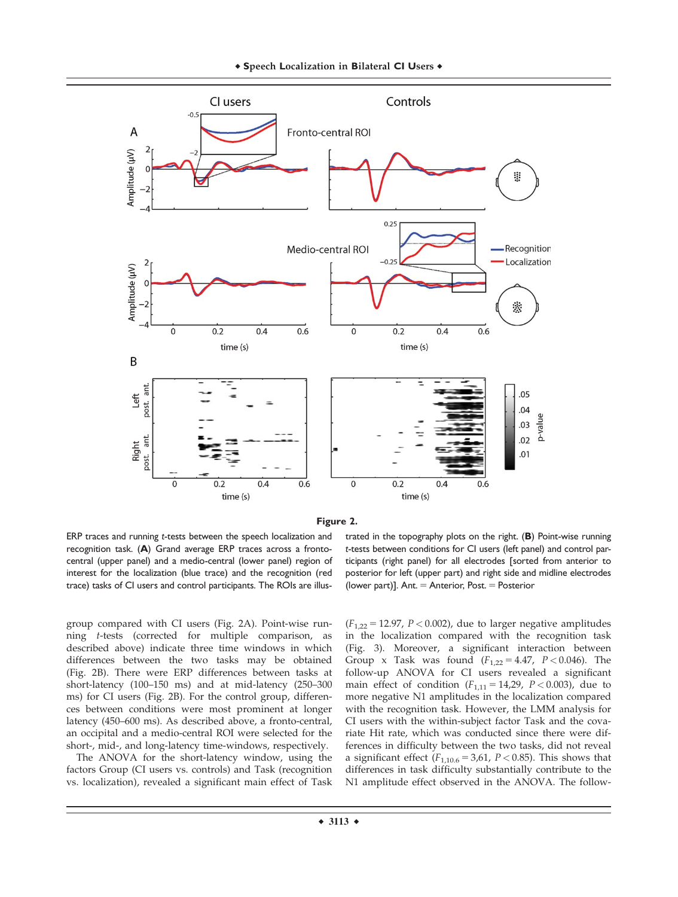



ERP traces and running *t*-tests between the speech localization and recognition task. (**A**) Grand average ERP traces across a frontocentral (upper panel) and a medio-central (lower panel) region of interest for the localization (blue trace) and the recognition (red trace) tasks of CI users and control participants. The ROIs are illus-

group compared with CI users (Fig. 2A). Point-wise running t-tests (corrected for multiple comparison, as described above) indicate three time windows in which differences between the two tasks may be obtained (Fig. 2B). There were ERP differences between tasks at short-latency (100–150 ms) and at mid-latency (250–300 ms) for CI users (Fig. 2B). For the control group, differences between conditions were most prominent at longer latency (450–600 ms). As described above, a fronto-central, an occipital and a medio-central ROI were selected for the short-, mid-, and long-latency time-windows, respectively.

The ANOVA for the short-latency window, using the factors Group (CI users vs. controls) and Task (recognition vs. localization), revealed a significant main effect of Task

trated in the topography plots on the right. (**B**) Point-wise running *t*-tests between conditions for CI users (left panel) and control participants (right panel) for all electrodes [sorted from anterior to posterior for left (upper part) and right side and midline electrodes (lower part)].  $Ant. =$  Anterior, Post.  $=$  Posterior

 $(F_{1,22} = 12.97, P < 0.002)$ , due to larger negative amplitudes in the localization compared with the recognition task (Fig. 3). Moreover, a significant interaction between Group x Task was found  $(F_{1,22} = 4.47, P < 0.046)$ . The follow-up ANOVA for CI users revealed a significant main effect of condition  $(F_{1,11} = 14,29, P < 0.003)$ , due to more negative N1 amplitudes in the localization compared with the recognition task. However, the LMM analysis for CI users with the within-subject factor Task and the covariate Hit rate, which was conducted since there were differences in difficulty between the two tasks, did not reveal a significant effect ( $F_{1,10.6} = 3.61$ ,  $P < 0.85$ ). This shows that differences in task difficulty substantially contribute to the N1 amplitude effect observed in the ANOVA. The follow-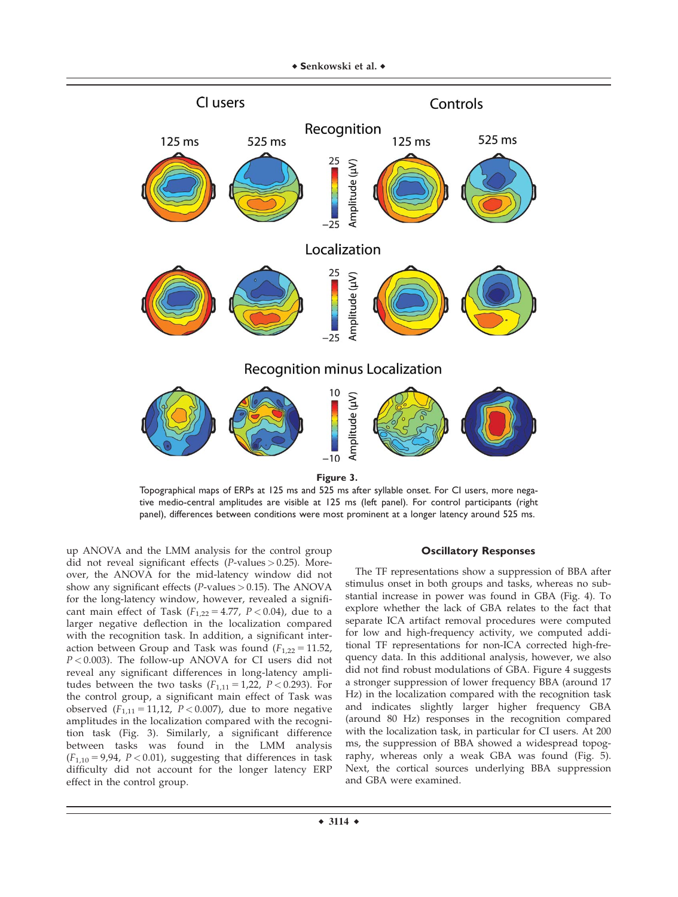

Topographical maps of ERPs at 125 ms and 525 ms after syllable onset. For CI users, more negative medio-central amplitudes are visible at 125 ms (left panel). For control participants (right panel), differences between conditions were most prominent at a longer latency around 525 ms.

up ANOVA and the LMM analysis for the control group did not reveal significant effects ( $P$ -values  $> 0.25$ ). Moreover, the ANOVA for the mid-latency window did not show any significant effects (*P*-values  $> 0.15$ ). The ANOVA for the long-latency window, however, revealed a significant main effect of Task ( $F_{1,22} = 4.77$ ,  $P < 0.04$ ), due to a larger negative deflection in the localization compared with the recognition task. In addition, a significant interaction between Group and Task was found  $(F_{1,22} = 11.52)$ ,  $P < 0.003$ ). The follow-up ANOVA for CI users did not reveal any significant differences in long-latency amplitudes between the two tasks  $(F_{1,11} = 1,22, P < 0.293)$ . For the control group, a significant main effect of Task was observed  $(F_{1,11} = 11, 12, P < 0.007)$ , due to more negative amplitudes in the localization compared with the recognition task (Fig. 3). Similarly, a significant difference between tasks was found in the LMM analysis  $(F_{1,10} = 9.94, P < 0.01)$ , suggesting that differences in task difficulty did not account for the longer latency ERP effect in the control group.

## **Oscillatory Responses**

The TF representations show a suppression of BBA after stimulus onset in both groups and tasks, whereas no substantial increase in power was found in GBA (Fig. 4). To explore whether the lack of GBA relates to the fact that separate ICA artifact removal procedures were computed for low and high-frequency activity, we computed additional TF representations for non-ICA corrected high-frequency data. In this additional analysis, however, we also did not find robust modulations of GBA. Figure 4 suggests a stronger suppression of lower frequency BBA (around 17 Hz) in the localization compared with the recognition task and indicates slightly larger higher frequency GBA (around 80 Hz) responses in the recognition compared with the localization task, in particular for CI users. At 200 ms, the suppression of BBA showed a widespread topography, whereas only a weak GBA was found (Fig. 5). Next, the cortical sources underlying BBA suppression and GBA were examined.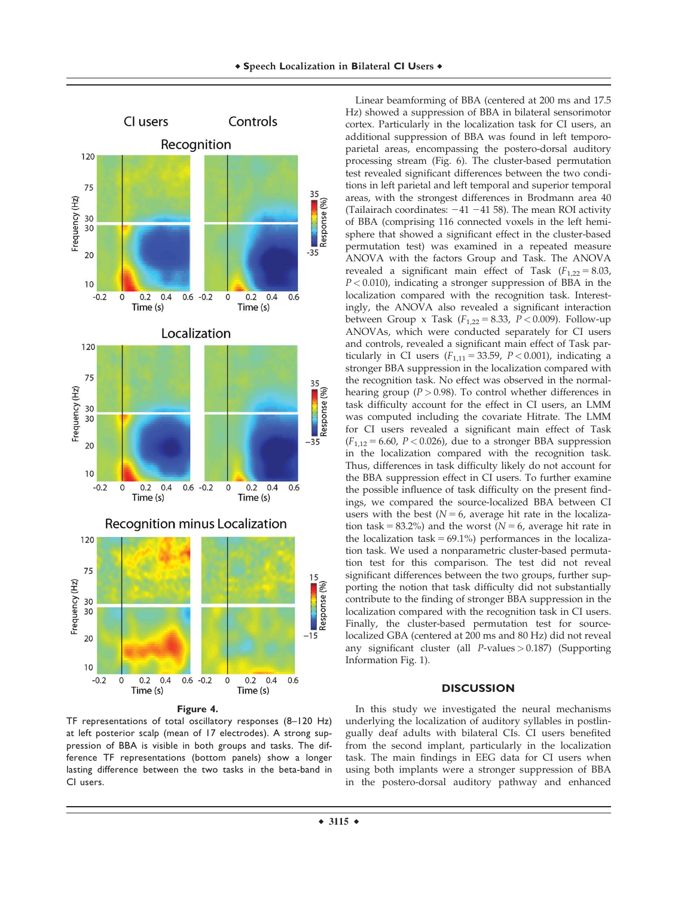

TF representations of total oscillatory responses (8–120 Hz) at left posterior scalp (mean of 17 electrodes). A strong suppression of BBA is visible in both groups and tasks. The difference TF representations (bottom panels) show a longer lasting difference between the two tasks in the beta-band in CI users.

Linear beamforming of BBA (centered at 200 ms and 17.5 Hz) showed a suppression of BBA in bilateral sensorimotor cortex. Particularly in the localization task for CI users, an additional suppression of BBA was found in left temporoparietal areas, encompassing the postero-dorsal auditory processing stream (Fig. 6). The cluster-based permutation test revealed significant differences between the two conditions in left parietal and left temporal and superior temporal areas, with the strongest differences in Brodmann area 40 (Tailairach coordinates:  $-41 - 41 58$ ). The mean ROI activity of BBA (comprising 116 connected voxels in the left hemisphere that showed a significant effect in the cluster-based permutation test) was examined in a repeated measure ANOVA with the factors Group and Task. The ANOVA revealed a significant main effect of Task  $(F_{1,22} = 8.03,$  $P < 0.010$ ), indicating a stronger suppression of BBA in the localization compared with the recognition task. Interestingly, the ANOVA also revealed a significant interaction between Group x Task ( $F_{1,22} = 8.33$ ,  $P < 0.009$ ). Follow-up ANOVAs, which were conducted separately for CI users and controls, revealed a significant main effect of Task particularly in CI users  $(F_{1,11} = 33.59, P < 0.001)$ , indicating a stronger BBA suppression in the localization compared with the recognition task. No effect was observed in the normalhearing group ( $P > 0.98$ ). To control whether differences in task difficulty account for the effect in CI users, an LMM was computed including the covariate Hitrate. The LMM for CI users revealed a significant main effect of Task  $(F<sub>1,12</sub> = 6.60, P < 0.026)$ , due to a stronger BBA suppression in the localization compared with the recognition task. Thus, differences in task difficulty likely do not account for the BBA suppression effect in CI users. To further examine the possible influence of task difficulty on the present findings, we compared the source-localized BBA between CI users with the best ( $N = 6$ , average hit rate in the localization task = 83.2%) and the worst ( $N = 6$ , average hit rate in the localization task  $= 69.1\%$ ) performances in the localization task. We used a nonparametric cluster-based permutation test for this comparison. The test did not reveal significant differences between the two groups, further supporting the notion that task difficulty did not substantially contribute to the finding of stronger BBA suppression in the localization compared with the recognition task in CI users. Finally, the cluster-based permutation test for sourcelocalized GBA (centered at 200 ms and 80 Hz) did not reveal any significant cluster (all  $P$ -values  $> 0.187$ ) (Supporting Information Fig. 1).

## **DISCUSSION**

In this study we investigated the neural mechanisms underlying the localization of auditory syllables in postlingually deaf adults with bilateral CIs. CI users benefited from the second implant, particularly in the localization task. The main findings in EEG data for CI users when using both implants were a stronger suppression of BBA in the postero-dorsal auditory pathway and enhanced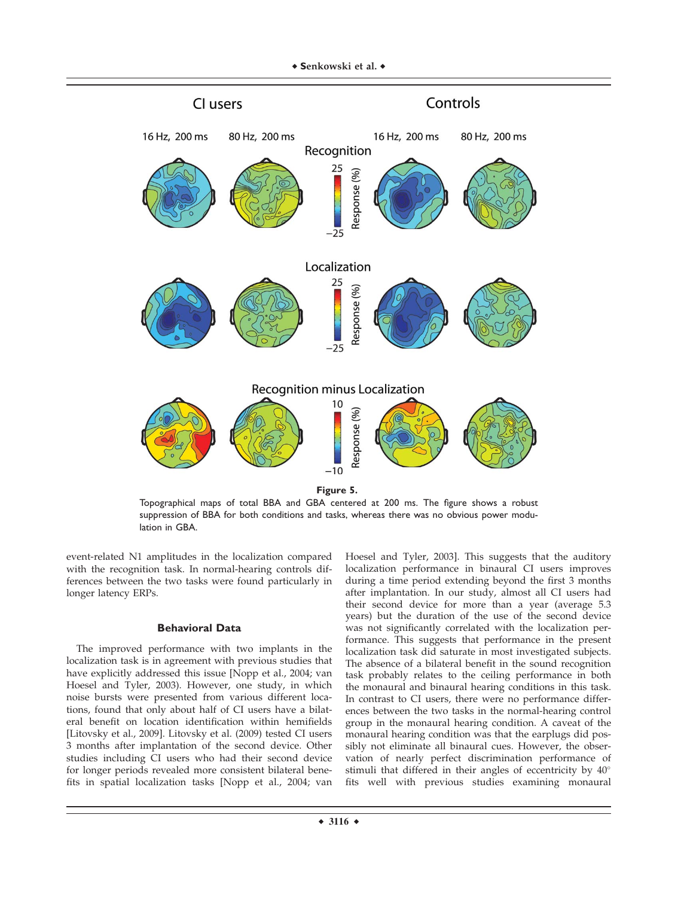

Topographical maps of total BBA and GBA centered at 200 ms. The figure shows a robust suppression of BBA for both conditions and tasks, whereas there was no obvious power modulation in GBA.

event-related N1 amplitudes in the localization compared with the recognition task. In normal-hearing controls differences between the two tasks were found particularly in longer latency ERPs.

## **Behavioral Data**

The improved performance with two implants in the localization task is in agreement with previous studies that have explicitly addressed this issue [Nopp et al., 2004; van Hoesel and Tyler, 2003). However, one study, in which noise bursts were presented from various different locations, found that only about half of CI users have a bilateral benefit on location identification within hemifields [Litovsky et al., 2009]. Litovsky et al. (2009) tested CI users 3 months after implantation of the second device. Other studies including CI users who had their second device for longer periods revealed more consistent bilateral benefits in spatial localization tasks [Nopp et al., 2004; van

Hoesel and Tyler, 2003]. This suggests that the auditory localization performance in binaural CI users improves during a time period extending beyond the first 3 months after implantation. In our study, almost all CI users had their second device for more than a year (average 5.3 years) but the duration of the use of the second device was not significantly correlated with the localization performance. This suggests that performance in the present localization task did saturate in most investigated subjects. The absence of a bilateral benefit in the sound recognition task probably relates to the ceiling performance in both the monaural and binaural hearing conditions in this task. In contrast to CI users, there were no performance differences between the two tasks in the normal-hearing control group in the monaural hearing condition. A caveat of the monaural hearing condition was that the earplugs did possibly not eliminate all binaural cues. However, the observation of nearly perfect discrimination performance of stimuli that differed in their angles of eccentricity by  $40^{\circ}$ fits well with previous studies examining monaural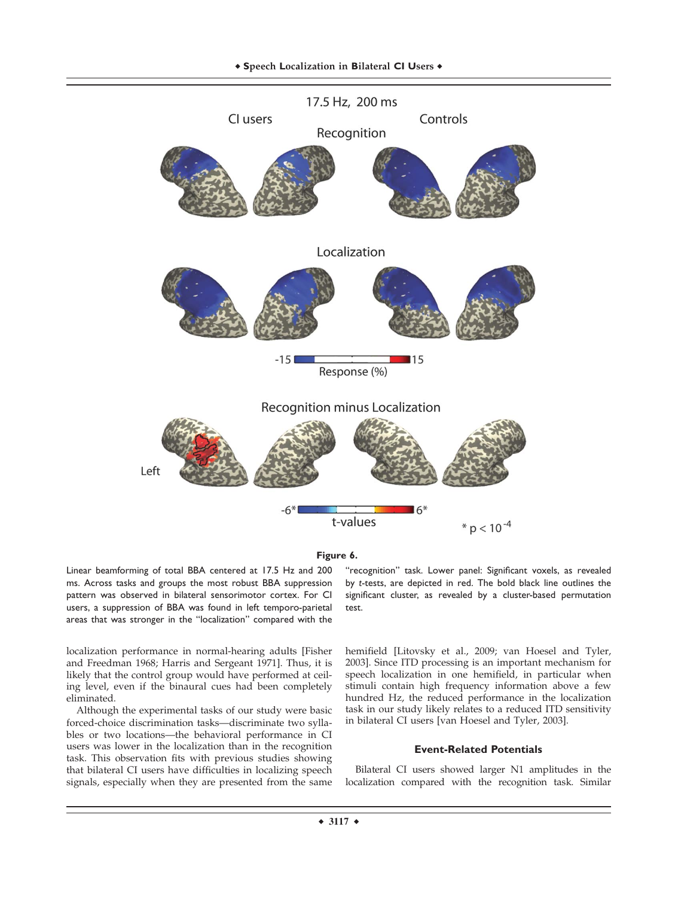



Linear beamforming of total BBA centered at 17.5 Hz and 200 ms. Across tasks and groups the most robust BBA suppression pattern was observed in bilateral sensorimotor cortex. For CI users, a suppression of BBA was found in left temporo-parietal areas that was stronger in the "localization" compared with the

localization performance in normal-hearing adults [Fisher and Freedman 1968; Harris and Sergeant 1971]. Thus, it is likely that the control group would have performed at ceiling level, even if the binaural cues had been completely eliminated.

Although the experimental tasks of our study were basic forced-choice discrimination tasks—discriminate two syllables or two locations—the behavioral performance in CI users was lower in the localization than in the recognition task. This observation fits with previous studies showing that bilateral CI users have difficulties in localizing speech signals, especially when they are presented from the same

"recognition" task. Lower panel: Significant voxels, as revealed by *t*-tests, are depicted in red. The bold black line outlines the significant cluster, as revealed by a cluster-based permutation test.

hemifield [Litovsky et al., 2009; van Hoesel and Tyler, 2003]. Since ITD processing is an important mechanism for speech localization in one hemifield, in particular when stimuli contain high frequency information above a few hundred Hz, the reduced performance in the localization task in our study likely relates to a reduced ITD sensitivity in bilateral CI users [van Hoesel and Tyler, 2003].

## **Event-Related Potentials**

Bilateral CI users showed larger N1 amplitudes in the localization compared with the recognition task. Similar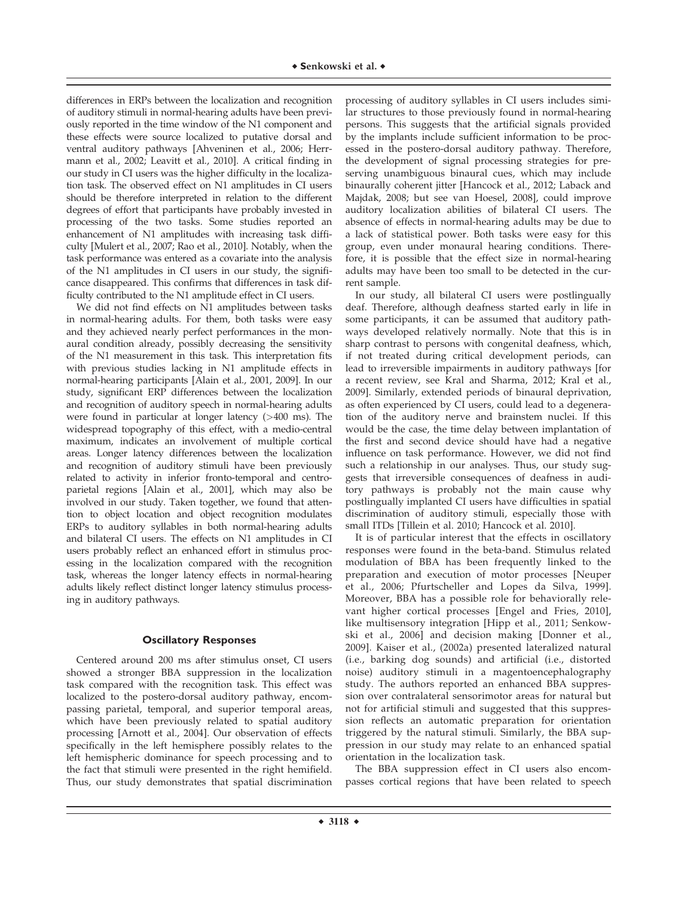differences in ERPs between the localization and recognition of auditory stimuli in normal-hearing adults have been previously reported in the time window of the N1 component and these effects were source localized to putative dorsal and ventral auditory pathways [Ahveninen et al., 2006; Herrmann et al., 2002; Leavitt et al., 2010]. A critical finding in our study in CI users was the higher difficulty in the localization task. The observed effect on N1 amplitudes in CI users should be therefore interpreted in relation to the different degrees of effort that participants have probably invested in processing of the two tasks. Some studies reported an enhancement of N1 amplitudes with increasing task difficulty [Mulert et al., 2007; Rao et al., 2010]. Notably, when the task performance was entered as a covariate into the analysis of the N1 amplitudes in CI users in our study, the significance disappeared. This confirms that differences in task difficulty contributed to the N1 amplitude effect in CI users.

We did not find effects on N1 amplitudes between tasks in normal-hearing adults. For them, both tasks were easy and they achieved nearly perfect performances in the monaural condition already, possibly decreasing the sensitivity of the N1 measurement in this task. This interpretation fits with previous studies lacking in N1 amplitude effects in normal-hearing participants [Alain et al., 2001, 2009]. In our study, significant ERP differences between the localization and recognition of auditory speech in normal-hearing adults were found in particular at longer latency (>400 ms). The widespread topography of this effect, with a medio-central maximum, indicates an involvement of multiple cortical areas. Longer latency differences between the localization and recognition of auditory stimuli have been previously related to activity in inferior fronto-temporal and centroparietal regions [Alain et al., 2001], which may also be involved in our study. Taken together, we found that attention to object location and object recognition modulates ERPs to auditory syllables in both normal-hearing adults and bilateral CI users. The effects on N1 amplitudes in CI users probably reflect an enhanced effort in stimulus processing in the localization compared with the recognition task, whereas the longer latency effects in normal-hearing adults likely reflect distinct longer latency stimulus processing in auditory pathways.

## **Oscillatory Responses**

Centered around 200 ms after stimulus onset, CI users showed a stronger BBA suppression in the localization task compared with the recognition task. This effect was localized to the postero-dorsal auditory pathway, encompassing parietal, temporal, and superior temporal areas, which have been previously related to spatial auditory processing [Arnott et al., 2004]. Our observation of effects specifically in the left hemisphere possibly relates to the left hemispheric dominance for speech processing and to the fact that stimuli were presented in the right hemifield. Thus, our study demonstrates that spatial discrimination

processing of auditory syllables in CI users includes similar structures to those previously found in normal-hearing persons. This suggests that the artificial signals provided by the implants include sufficient information to be processed in the postero-dorsal auditory pathway. Therefore, the development of signal processing strategies for preserving unambiguous binaural cues, which may include binaurally coherent jitter [Hancock et al., 2012; Laback and Majdak, 2008; but see van Hoesel, 2008], could improve auditory localization abilities of bilateral CI users. The absence of effects in normal-hearing adults may be due to a lack of statistical power. Both tasks were easy for this group, even under monaural hearing conditions. Therefore, it is possible that the effect size in normal-hearing adults may have been too small to be detected in the current sample.

In our study, all bilateral CI users were postlingually deaf. Therefore, although deafness started early in life in some participants, it can be assumed that auditory pathways developed relatively normally. Note that this is in sharp contrast to persons with congenital deafness, which, if not treated during critical development periods, can lead to irreversible impairments in auditory pathways [for a recent review, see Kral and Sharma, 2012; Kral et al., 2009]. Similarly, extended periods of binaural deprivation, as often experienced by CI users, could lead to a degeneration of the auditory nerve and brainstem nuclei. If this would be the case, the time delay between implantation of the first and second device should have had a negative influence on task performance. However, we did not find such a relationship in our analyses. Thus, our study suggests that irreversible consequences of deafness in auditory pathways is probably not the main cause why postlingually implanted CI users have difficulties in spatial discrimination of auditory stimuli, especially those with small ITDs [Tillein et al. 2010; Hancock et al. 2010].

It is of particular interest that the effects in oscillatory responses were found in the beta-band. Stimulus related modulation of BBA has been frequently linked to the preparation and execution of motor processes [Neuper et al., 2006; Pfurtscheller and Lopes da Silva, 1999]. Moreover, BBA has a possible role for behaviorally relevant higher cortical processes [Engel and Fries, 2010], like multisensory integration [Hipp et al., 2011; Senkowski et al., 2006] and decision making [Donner et al., 2009]. Kaiser et al., (2002a) presented lateralized natural (i.e., barking dog sounds) and artificial (i.e., distorted noise) auditory stimuli in a magentoencephalography study. The authors reported an enhanced BBA suppression over contralateral sensorimotor areas for natural but not for artificial stimuli and suggested that this suppression reflects an automatic preparation for orientation triggered by the natural stimuli. Similarly, the BBA suppression in our study may relate to an enhanced spatial orientation in the localization task.

The BBA suppression effect in CI users also encompasses cortical regions that have been related to speech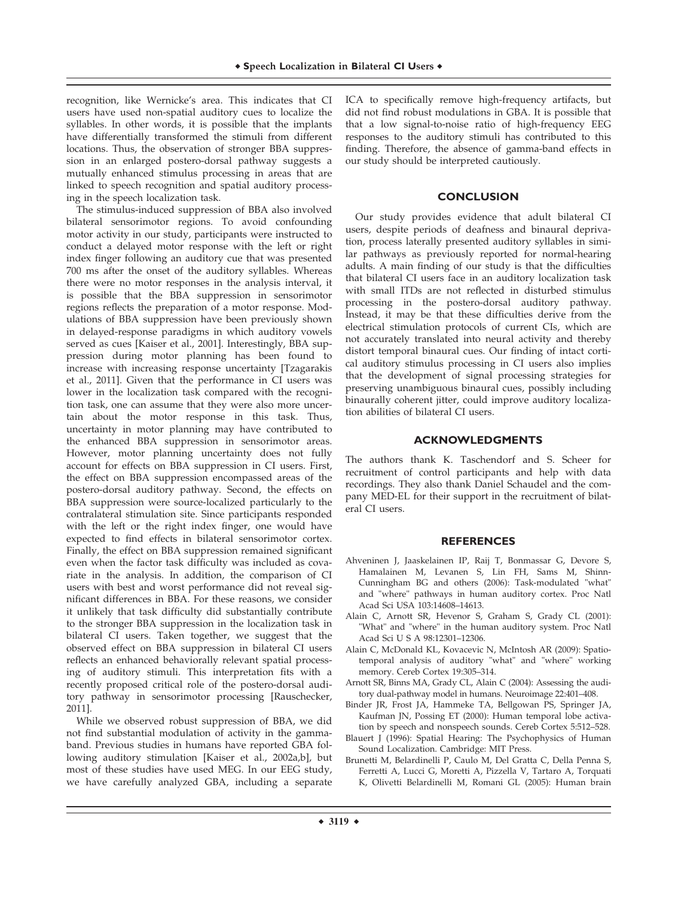recognition, like Wernicke's area. This indicates that CI users have used non-spatial auditory cues to localize the syllables. In other words, it is possible that the implants have differentially transformed the stimuli from different locations. Thus, the observation of stronger BBA suppression in an enlarged postero-dorsal pathway suggests a mutually enhanced stimulus processing in areas that are linked to speech recognition and spatial auditory processing in the speech localization task.

The stimulus-induced suppression of BBA also involved bilateral sensorimotor regions. To avoid confounding motor activity in our study, participants were instructed to conduct a delayed motor response with the left or right index finger following an auditory cue that was presented 700 ms after the onset of the auditory syllables. Whereas there were no motor responses in the analysis interval, it is possible that the BBA suppression in sensorimotor regions reflects the preparation of a motor response. Modulations of BBA suppression have been previously shown in delayed-response paradigms in which auditory vowels served as cues [Kaiser et al., 2001]. Interestingly, BBA suppression during motor planning has been found to increase with increasing response uncertainty [Tzagarakis et al., 2011]. Given that the performance in CI users was lower in the localization task compared with the recognition task, one can assume that they were also more uncertain about the motor response in this task. Thus, uncertainty in motor planning may have contributed to the enhanced BBA suppression in sensorimotor areas. However, motor planning uncertainty does not fully account for effects on BBA suppression in CI users. First, the effect on BBA suppression encompassed areas of the postero-dorsal auditory pathway. Second, the effects on BBA suppression were source-localized particularly to the contralateral stimulation site. Since participants responded with the left or the right index finger, one would have expected to find effects in bilateral sensorimotor cortex. Finally, the effect on BBA suppression remained significant even when the factor task difficulty was included as covariate in the analysis. In addition, the comparison of CI users with best and worst performance did not reveal significant differences in BBA. For these reasons, we consider it unlikely that task difficulty did substantially contribute to the stronger BBA suppression in the localization task in bilateral CI users. Taken together, we suggest that the observed effect on BBA suppression in bilateral CI users reflects an enhanced behaviorally relevant spatial processing of auditory stimuli. This interpretation fits with a recently proposed critical role of the postero-dorsal auditory pathway in sensorimotor processing [Rauschecker, 2011].

While we observed robust suppression of BBA, we did not find substantial modulation of activity in the gammaband. Previous studies in humans have reported GBA following auditory stimulation [Kaiser et al., 2002a,b], but most of these studies have used MEG. In our EEG study, we have carefully analyzed GBA, including a separate

ICA to specifically remove high-frequency artifacts, but did not find robust modulations in GBA. It is possible that that a low signal-to-noise ratio of high-frequency EEG responses to the auditory stimuli has contributed to this finding. Therefore, the absence of gamma-band effects in our study should be interpreted cautiously.

## **CONCLUSION**

Our study provides evidence that adult bilateral CI users, despite periods of deafness and binaural deprivation, process laterally presented auditory syllables in similar pathways as previously reported for normal-hearing adults. A main finding of our study is that the difficulties that bilateral CI users face in an auditory localization task with small ITDs are not reflected in disturbed stimulus processing in the postero-dorsal auditory pathway. Instead, it may be that these difficulties derive from the electrical stimulation protocols of current CIs, which are not accurately translated into neural activity and thereby distort temporal binaural cues. Our finding of intact cortical auditory stimulus processing in CI users also implies that the development of signal processing strategies for preserving unambiguous binaural cues, possibly including binaurally coherent jitter, could improve auditory localization abilities of bilateral CI users.

## **ACKNOWLEDGMENTS**

The authors thank K. Taschendorf and S. Scheer for recruitment of control participants and help with data recordings. They also thank Daniel Schaudel and the company MED-EL for their support in the recruitment of bilateral CI users.

## **REFERENCES**

- Ahveninen J, Jaaskelainen IP, Raij T, Bonmassar G, Devore S, Hamalainen M, Levanen S, Lin FH, Sams M, Shinn-Cunningham BG and others (2006): Task-modulated "what" and "where" pathways in human auditory cortex. Proc Natl Acad Sci USA 103:14608–14613.
- Alain C, Arnott SR, Hevenor S, Graham S, Grady CL (2001): "What" and "where" in the human auditory system. Proc Natl Acad Sci U S A 98:12301–12306.
- Alain C, McDonald KL, Kovacevic N, McIntosh AR (2009): Spatiotemporal analysis of auditory "what" and "where" working memory. Cereb Cortex 19:305–314.
- Arnott SR, Binns MA, Grady CL, Alain C (2004): Assessing the auditory dual-pathway model in humans. Neuroimage 22:401–408.
- Binder JR, Frost JA, Hammeke TA, Bellgowan PS, Springer JA, Kaufman JN, Possing ET (2000): Human temporal lobe activation by speech and nonspeech sounds. Cereb Cortex 5:512–528.
- Blauert J (1996): Spatial Hearing: The Psychophysics of Human Sound Localization. Cambridge: MIT Press.
- Brunetti M, Belardinelli P, Caulo M, Del Gratta C, Della Penna S, Ferretti A, Lucci G, Moretti A, Pizzella V, Tartaro A, Torquati K, Olivetti Belardinelli M, Romani GL (2005): Human brain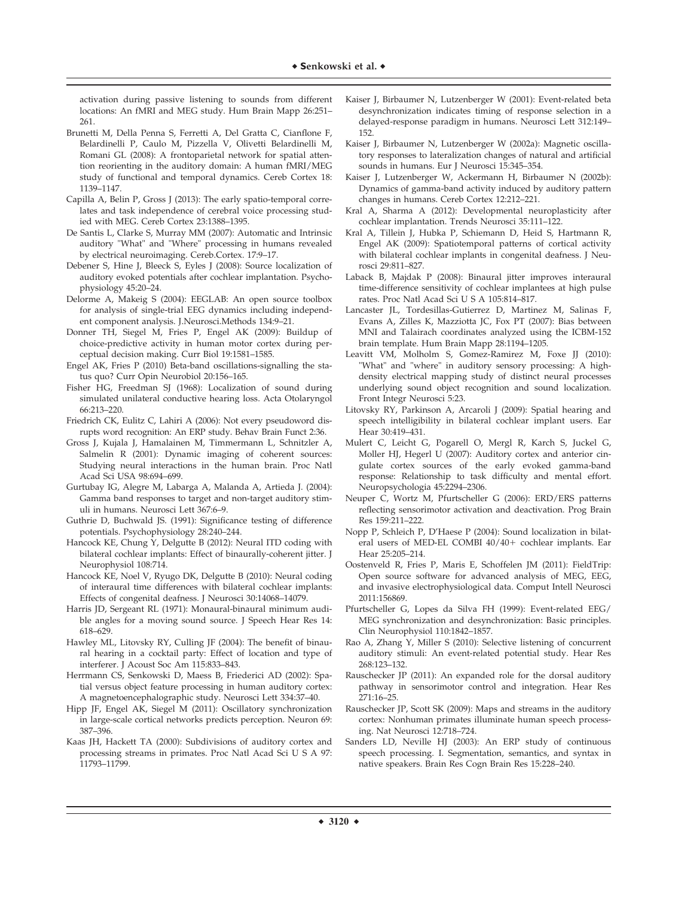activation during passive listening to sounds from different locations: An fMRI and MEG study. Hum Brain Mapp 26:251– 261.

- Brunetti M, Della Penna S, Ferretti A, Del Gratta C, Cianflone F, Belardinelli P, Caulo M, Pizzella V, Olivetti Belardinelli M, Romani GL (2008): A frontoparietal network for spatial attention reorienting in the auditory domain: A human fMRI/MEG study of functional and temporal dynamics. Cereb Cortex 18: 1139–1147.
- Capilla A, Belin P, Gross J (2013): The early spatio-temporal correlates and task independence of cerebral voice processing studied with MEG. Cereb Cortex 23:1388–1395.
- De Santis L, Clarke S, Murray MM (2007): Automatic and Intrinsic auditory "What" and "Where" processing in humans revealed by electrical neuroimaging. Cereb.Cortex. 17:9–17.
- Debener S, Hine J, Bleeck S, Eyles J (2008): Source localization of auditory evoked potentials after cochlear implantation. Psychophysiology 45:20–24.
- Delorme A, Makeig S (2004): EEGLAB: An open source toolbox for analysis of single-trial EEG dynamics including independent component analysis. J.Neurosci.Methods 134:9–21.
- Donner TH, Siegel M, Fries P, Engel AK (2009): Buildup of choice-predictive activity in human motor cortex during perceptual decision making. Curr Biol 19:1581–1585.
- Engel AK, Fries P (2010) Beta-band oscillations-signalling the status quo? Curr Opin Neurobiol 20:156–165.
- Fisher HG, Freedman SJ (1968): Localization of sound during simulated unilateral conductive hearing loss. Acta Otolaryngol 66:213–220.
- Friedrich CK, Eulitz C, Lahiri A (2006): Not every pseudoword disrupts word recognition: An ERP study. Behav Brain Funct 2:36.
- Gross J, Kujala J, Hamalainen M, Timmermann L, Schnitzler A, Salmelin R (2001): Dynamic imaging of coherent sources: Studying neural interactions in the human brain. Proc Natl Acad Sci USA 98:694–699.
- Gurtubay IG, Alegre M, Labarga A, Malanda A, Artieda J. (2004): Gamma band responses to target and non-target auditory stimuli in humans. Neurosci Lett 367:6–9.
- Guthrie D, Buchwald JS. (1991): Significance testing of difference potentials. Psychophysiology 28:240–244.
- Hancock KE, Chung Y, Delgutte B (2012): Neural ITD coding with bilateral cochlear implants: Effect of binaurally-coherent jitter. J Neurophysiol 108:714.
- Hancock KE, Noel V, Ryugo DK, Delgutte B (2010): Neural coding of interaural time differences with bilateral cochlear implants: Effects of congenital deafness. J Neurosci 30:14068–14079.
- Harris JD, Sergeant RL (1971): Monaural-binaural minimum audible angles for a moving sound source. J Speech Hear Res 14: 618–629.
- Hawley ML, Litovsky RY, Culling JF (2004): The benefit of binaural hearing in a cocktail party: Effect of location and type of interferer. J Acoust Soc Am 115:833–843.
- Herrmann CS, Senkowski D, Maess B, Friederici AD (2002): Spatial versus object feature processing in human auditory cortex: A magnetoencephalographic study. Neurosci Lett 334:37–40.
- Hipp JF, Engel AK, Siegel M (2011): Oscillatory synchronization in large-scale cortical networks predicts perception. Neuron 69: 387–396.
- Kaas JH, Hackett TA (2000): Subdivisions of auditory cortex and processing streams in primates. Proc Natl Acad Sci U S A 97: 11793–11799.
- Kaiser J, Birbaumer N, Lutzenberger W (2001): Event-related beta desynchronization indicates timing of response selection in a delayed-response paradigm in humans. Neurosci Lett 312:149– 152.
- Kaiser J, Birbaumer N, Lutzenberger W (2002a): Magnetic oscillatory responses to lateralization changes of natural and artificial sounds in humans. Eur J Neurosci 15:345–354.
- Kaiser J, Lutzenberger W, Ackermann H, Birbaumer N (2002b): Dynamics of gamma-band activity induced by auditory pattern changes in humans. Cereb Cortex 12:212–221.
- Kral A, Sharma A (2012): Developmental neuroplasticity after cochlear implantation. Trends Neurosci 35:111–122.
- Kral A, Tillein J, Hubka P, Schiemann D, Heid S, Hartmann R, Engel AK (2009): Spatiotemporal patterns of cortical activity with bilateral cochlear implants in congenital deafness. J Neurosci 29:811–827.
- Laback B, Majdak P (2008): Binaural jitter improves interaural time-difference sensitivity of cochlear implantees at high pulse rates. Proc Natl Acad Sci U S A 105:814–817.
- Lancaster JL, Tordesillas-Gutierrez D, Martinez M, Salinas F, Evans A, Zilles K, Mazziotta JC, Fox PT (2007): Bias between MNI and Talairach coordinates analyzed using the ICBM-152 brain template. Hum Brain Mapp 28:1194–1205.
- Leavitt VM, Molholm S, Gomez-Ramirez M, Foxe JJ (2010): "What" and "where" in auditory sensory processing: A highdensity electrical mapping study of distinct neural processes underlying sound object recognition and sound localization. Front Integr Neurosci 5:23.
- Litovsky RY, Parkinson A, Arcaroli J (2009): Spatial hearing and speech intelligibility in bilateral cochlear implant users. Ear Hear 30:419–431.
- Mulert C, Leicht G, Pogarell O, Mergl R, Karch S, Juckel G, Moller HJ, Hegerl U (2007): Auditory cortex and anterior cingulate cortex sources of the early evoked gamma-band response: Relationship to task difficulty and mental effort. Neuropsychologia 45:2294–2306.
- Neuper C, Wortz M, Pfurtscheller G (2006): ERD/ERS patterns reflecting sensorimotor activation and deactivation. Prog Brain Res 159:211–222.
- Nopp P, Schleich P, D'Haese P (2004): Sound localization in bilateral users of MED-EL COMBI 40/40+ cochlear implants. Ear Hear 25:205–214.
- Oostenveld R, Fries P, Maris E, Schoffelen JM (2011): FieldTrip: Open source software for advanced analysis of MEG, EEG, and invasive electrophysiological data. Comput Intell Neurosci 2011:156869.
- Pfurtscheller G, Lopes da Silva FH (1999): Event-related EEG/ MEG synchronization and desynchronization: Basic principles. Clin Neurophysiol 110:1842–1857.
- Rao A, Zhang Y, Miller S (2010): Selective listening of concurrent auditory stimuli: An event-related potential study. Hear Res 268:123–132.
- Rauschecker JP (2011): An expanded role for the dorsal auditory pathway in sensorimotor control and integration. Hear Res 271:16–25.
- Rauschecker JP, Scott SK (2009): Maps and streams in the auditory cortex: Nonhuman primates illuminate human speech processing. Nat Neurosci 12:718–724.
- Sanders LD, Neville HJ (2003): An ERP study of continuous speech processing. I. Segmentation, semantics, and syntax in native speakers. Brain Res Cogn Brain Res 15:228–240.